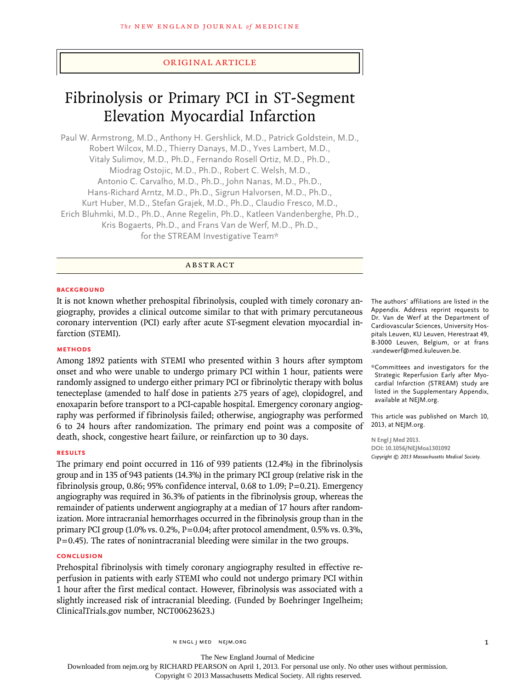# original article

# Fibrinolysis or Primary PCI in ST-Segment Elevation Myocardial Infarction

Paul W. Armstrong, M.D., Anthony H. Gershlick, M.D., Patrick Goldstein, M.D., Robert Wilcox, M.D., Thierry Danays, M.D., Yves Lambert, M.D., Vitaly Sulimov, M.D., Ph.D., Fernando Rosell Ortiz, M.D., Ph.D., Miodrag Ostojic, M.D., Ph.D., Robert C. Welsh, M.D., Antonio C. Carvalho, M.D., Ph.D., John Nanas, M.D., Ph.D., Hans-Richard Arntz, M.D., Ph.D., Sigrun Halvorsen, M.D., Ph.D., Kurt Huber, M.D., Stefan Grajek, M.D., Ph.D., Claudio Fresco, M.D., Erich Bluhmki, M.D., Ph.D., Anne Regelin, Ph.D., Katleen Vandenberghe, Ph.D., Kris Bogaerts, Ph.D., and Frans Van de Werf, M.D., Ph.D., for the STREAM Investigative Team\*

# **ABSTRACT**

## **BACKGROUND**

It is not known whether prehospital fibrinolysis, coupled with timely coronary angiography, provides a clinical outcome similar to that with primary percutaneous coronary intervention (PCI) early after acute ST-segment elevation myocardial infarction (STEMI).

# **Methods**

Among 1892 patients with STEMI who presented within 3 hours after symptom onset and who were unable to undergo primary PCI within 1 hour, patients were randomly assigned to undergo either primary PCI or fibrinolytic therapy with bolus tenecteplase (amended to half dose in patients ≥75 years of age), clopidogrel, and enoxaparin before transport to a PCI-capable hospital. Emergency coronary angiography was performed if fibrinolysis failed; otherwise, angiography was performed 6 to 24 hours after randomization. The primary end point was a composite of death, shock, congestive heart failure, or reinfarction up to 30 days.

## **Results**

The primary end point occurred in 116 of 939 patients (12.4%) in the fibrinolysis group and in 135 of 943 patients (14.3%) in the primary PCI group (relative risk in the fibrinolysis group, 0.86; 95% confidence interval, 0.68 to 1.09;  $P=0.21$ ). Emergency angiography was required in 36.3% of patients in the fibrinolysis group, whereas the remainder of patients underwent angiography at a median of 17 hours after randomization. More intracranial hemorrhages occurred in the fibrinolysis group than in the primary PCI group (1.0% vs. 0.2%, P=0.04; after protocol amendment, 0.5% vs. 0.3%,  $P=0.45$ ). The rates of nonintracranial bleeding were similar in the two groups.

# **Conclusion**

Prehospital fibrinolysis with timely coronary angiography resulted in effective reperfusion in patients with early STEMI who could not undergo primary PCI within 1 hour after the first medical contact. However, fibrinolysis was associated with a slightly increased risk of intracranial bleeding. (Funded by Boehringer Ingelheim; ClinicalTrials.gov number, NCT00623623.)

The authors' affiliations are listed in the Appendix. Address reprint requests to Dr. Van de Werf at the Department of Cardiovascular Sciences, University Hospitals Leuven, KU Leuven, Herestraat 49, B-3000 Leuven, Belgium, or at frans .vandewerf@med.kuleuven.be.

\*Committees and investigators for the Strategic Reperfusion Early after Myocardial Infarction (STREAM) study are listed in the Supplementary Appendix, available at NEJM.org.

This article was published on March 10, 2013, at NEJM.org.

**N Engl J Med 2013. DOI: 10.1056/NEJMoa1301092** *Copyright © 2013 Massachusetts Medical Society.*

The New England Journal of Medicine Downloaded from nejm.org by RICHARD PEARSON on April 1, 2013. For personal use only. No other uses without permission.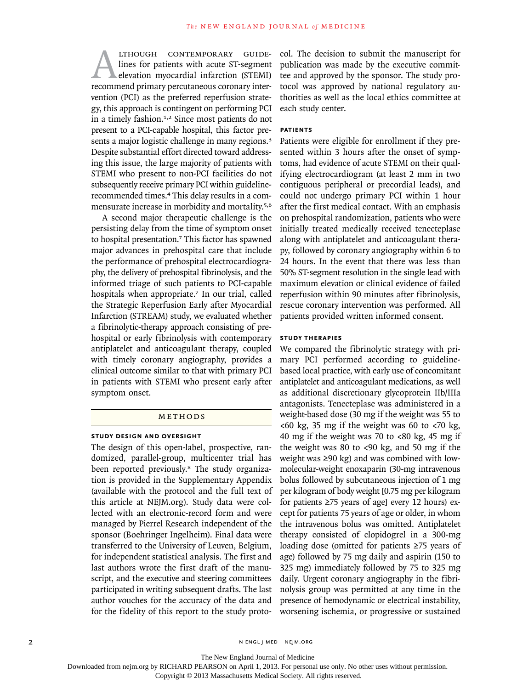ALTHOUGH CONTEMPORARY GUIDE-<br>
lines for patients with acute ST-segment<br>
elevation myocardial infarction (STEMI)<br>
recommend primary percutaneous coronary interlines for patients with acute ST-segment elevation myocardial infarction (STEMI) vention (PCI) as the preferred reperfusion strategy, this approach is contingent on performing PCI in a timely fashion.<sup>1,2</sup> Since most patients do not present to a PCI-capable hospital, this factor presents a major logistic challenge in many regions.<sup>3</sup> Despite substantial effort directed toward addressing this issue, the large majority of patients with STEMI who present to non-PCI facilities do not subsequently receive primary PCI within guidelinerecommended times.4 This delay results in a commensurate increase in morbidity and mortality.5,6

A second major therapeutic challenge is the persisting delay from the time of symptom onset to hospital presentation.7 This factor has spawned major advances in prehospital care that include the performance of prehospital electrocardiography, the delivery of prehospital fibrinolysis, and the informed triage of such patients to PCI-capable hospitals when appropriate.<sup>7</sup> In our trial, called the Strategic Reperfusion Early after Myocardial Infarction (STREAM) study, we evaluated whether a fibrinolytic-therapy approach consisting of prehospital or early fibrinolysis with contemporary antiplatelet and anticoagulant therapy, coupled with timely coronary angiography, provides a clinical outcome similar to that with primary PCI in patients with STEMI who present early after symptom onset.

# METHODS

#### **Study Design and Oversight**

The design of this open-label, prospective, randomized, parallel-group, multicenter trial has been reported previously.<sup>8</sup> The study organization is provided in the Supplementary Appendix (available with the protocol and the full text of this article at NEJM.org). Study data were collected with an electronic-record form and were managed by Pierrel Research independent of the sponsor (Boehringer Ingelheim). Final data were transferred to the University of Leuven, Belgium, for independent statistical analysis. The first and last authors wrote the first draft of the manuscript, and the executive and steering committees participated in writing subsequent drafts. The last author vouches for the accuracy of the data and for the fidelity of this report to the study protocol. The decision to submit the manuscript for publication was made by the executive committee and approved by the sponsor. The study protocol was approved by national regulatory authorities as well as the local ethics committee at each study center.

# **Patients**

Patients were eligible for enrollment if they presented within 3 hours after the onset of symptoms, had evidence of acute STEMI on their qualifying electrocardiogram (at least 2 mm in two contiguous peripheral or precordial leads), and could not undergo primary PCI within 1 hour after the first medical contact. With an emphasis on prehospital randomization, patients who were initially treated medically received tenecteplase along with antiplatelet and anticoagulant therapy, followed by coronary angiography within 6 to 24 hours. In the event that there was less than 50% ST-segment resolution in the single lead with maximum elevation or clinical evidence of failed reperfusion within 90 minutes after fibrinolysis, rescue coronary intervention was performed. All patients provided written informed consent.

# **Study Therapies**

We compared the fibrinolytic strategy with primary PCI performed according to guidelinebased local practice, with early use of concomitant antiplatelet and anticoagulant medications, as well as additional discretionary glycoprotein IIb/IIIa antagonists. Tenecteplase was administered in a weight-based dose (30 mg if the weight was 55 to  $<60$  kg, 35 mg if the weight was 60 to  $<70$  kg, 40 mg if the weight was 70 to  $<80$  kg, 45 mg if the weight was 80 to <90 kg, and 50 mg if the weight was ≥90 kg) and was combined with lowmolecular-weight enoxaparin (30-mg intravenous bolus followed by subcutaneous injection of 1 mg per kilogram of body weight [0.75 mg per kilogram for patients ≥75 years of age] every 12 hours) except for patients 75 years of age or older, in whom the intravenous bolus was omitted. Antiplatelet therapy consisted of clopidogrel in a 300-mg loading dose (omitted for patients ≥75 years of age) followed by 75 mg daily and aspirin (150 to 325 mg) immediately followed by 75 to 325 mg daily. Urgent coronary angiography in the fibrinolysis group was permitted at any time in the presence of hemodynamic or electrical instability, worsening ischemia, or progressive or sustained

2 N ENGL J MED NEJM.ORG

The New England Journal of Medicine

Downloaded from nejm.org by RICHARD PEARSON on April 1, 2013. For personal use only. No other uses without permission.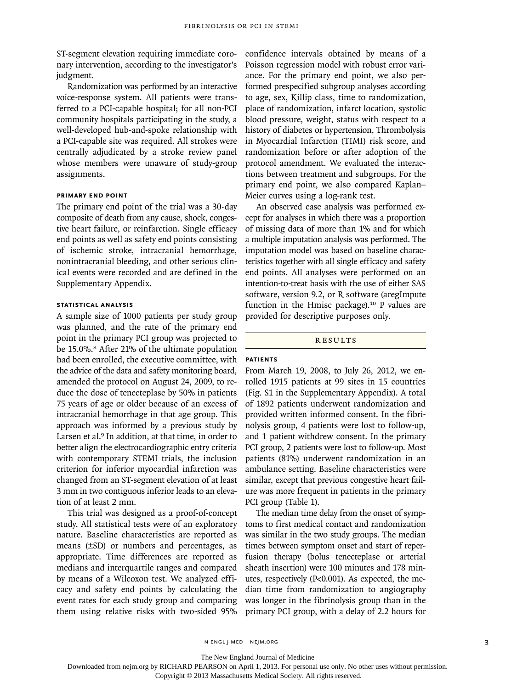ST-segment elevation requiring immediate coronary intervention, according to the investigator's judgment.

Randomization was performed by an interactive voice-response system. All patients were transferred to a PCI-capable hospital; for all non-PCI community hospitals participating in the study, a well-developed hub-and-spoke relationship with a PCI-capable site was required. All strokes were centrally adjudicated by a stroke review panel whose members were unaware of study-group assignments.

## **Primary End Point**

The primary end point of the trial was a 30-day composite of death from any cause, shock, congestive heart failure, or reinfarction. Single efficacy end points as well as safety end points consisting of ischemic stroke, intracranial hemorrhage, nonintracranial bleeding, and other serious clinical events were recorded and are defined in the Supplementary Appendix.

# **Statistical Analysis**

A sample size of 1000 patients per study group was planned, and the rate of the primary end point in the primary PCI group was projected to be 15.0%.<sup>8</sup> After 21% of the ultimate population had been enrolled, the executive committee, with the advice of the data and safety monitoring board, amended the protocol on August 24, 2009, to reduce the dose of tenecteplase by 50% in patients 75 years of age or older because of an excess of intracranial hemorrhage in that age group. This approach was informed by a previous study by Larsen et al.<sup>9</sup> In addition, at that time, in order to better align the electrocardiographic entry criteria with contemporary STEMI trials, the inclusion criterion for inferior myocardial infarction was changed from an ST-segment elevation of at least 3 mm in two contiguous inferior leads to an elevation of at least 2 mm.

This trial was designed as a proof-of-concept study. All statistical tests were of an exploratory nature. Baseline characteristics are reported as means (±SD) or numbers and percentages, as appropriate. Time differences are reported as medians and interquartile ranges and compared by means of a Wilcoxon test. We analyzed efficacy and safety end points by calculating the event rates for each study group and comparing them using relative risks with two-sided 95% confidence intervals obtained by means of a Poisson regression model with robust error variance. For the primary end point, we also performed prespecified subgroup analyses according to age, sex, Killip class, time to randomization, place of randomization, infarct location, systolic blood pressure, weight, status with respect to a history of diabetes or hypertension, Thrombolysis in Myocardial Infarction (TIMI) risk score, and randomization before or after adoption of the protocol amendment. We evaluated the interactions between treatment and subgroups. For the primary end point, we also compared Kaplan– Meier curves using a log-rank test.

An observed case analysis was performed except for analyses in which there was a proportion of missing data of more than 1% and for which a multiple imputation analysis was performed. The imputation model was based on baseline characteristics together with all single efficacy and safety end points. All analyses were performed on an intention-to-treat basis with the use of either SAS software, version 9.2, or R software (aregImpute function in the Hmisc package).<sup>10</sup> P values are provided for descriptive purposes only.

## **RESULTS**

# **Patients**

From March 19, 2008, to July 26, 2012, we enrolled 1915 patients at 99 sites in 15 countries (Fig. S1 in the Supplementary Appendix). A total of 1892 patients underwent randomization and provided written informed consent. In the fibrinolysis group, 4 patients were lost to follow-up, and 1 patient withdrew consent. In the primary PCI group, 2 patients were lost to follow-up. Most patients (81%) underwent randomization in an ambulance setting. Baseline characteristics were similar, except that previous congestive heart failure was more frequent in patients in the primary PCI group (Table 1).

The median time delay from the onset of symptoms to first medical contact and randomization was similar in the two study groups. The median times between symptom onset and start of reperfusion therapy (bolus tenecteplase or arterial sheath insertion) were 100 minutes and 178 minutes, respectively (P<0.001). As expected, the median time from randomization to angiography was longer in the fibrinolysis group than in the primary PCI group, with a delay of 2.2 hours for

The New England Journal of Medicine

Downloaded from nejm.org by RICHARD PEARSON on April 1, 2013. For personal use only. No other uses without permission.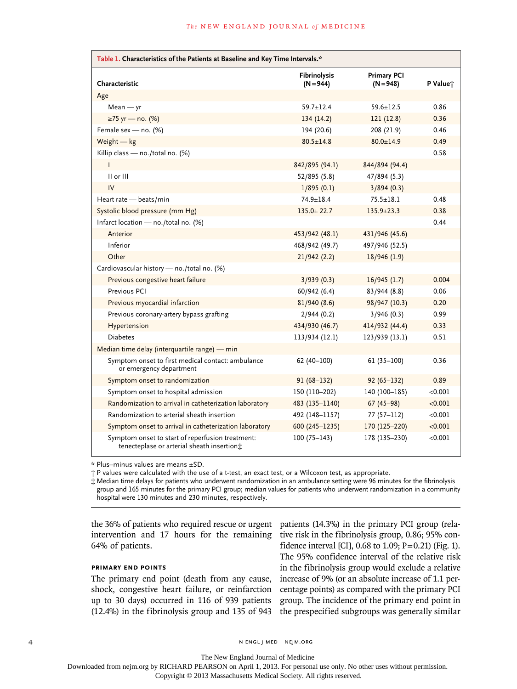| Table 1. Characteristics of the Patients at Baseline and Key Time Intervals.*                  |                             |                                   |          |  |  |
|------------------------------------------------------------------------------------------------|-----------------------------|-----------------------------------|----------|--|--|
| Characteristic                                                                                 | Fibrinolysis<br>$(N = 944)$ | <b>Primary PCI</b><br>$(N = 948)$ | P Value; |  |  |
| Age                                                                                            |                             |                                   |          |  |  |
| $Mean - yr$                                                                                    | $59.7 + 12.4$               | $59.6 + 12.5$                     | 0.86     |  |  |
| ≥75 yr — no. (%)                                                                               | 134(14.2)                   | 121(12.8)                         | 0.36     |  |  |
| Female sex - no. (%)                                                                           | 194 (20.6)                  | 208 (21.9)                        | 0.46     |  |  |
| Weight $-$ kg                                                                                  | $80.5 \pm 14.8$             | $80.0 \pm 14.9$                   | 0.49     |  |  |
| Killip class - no./total no. (%)                                                               |                             |                                   | 0.58     |  |  |
|                                                                                                | 842/895 (94.1)              | 844/894 (94.4)                    |          |  |  |
| II or III                                                                                      | 52/895 (5.8)                | 47/894 (5.3)                      |          |  |  |
| IV                                                                                             | 1/895(0.1)                  | 3/894(0.3)                        |          |  |  |
| Heart rate - beats/min                                                                         | $74.9 \pm 18.4$             | $75.5 \pm 18.1$                   | 0.48     |  |  |
| Systolic blood pressure (mm Hg)                                                                | $135.0 \pm 22.7$            | $135.9 \pm 23.3$                  | 0.38     |  |  |
| Infarct location - no./total no. (%)                                                           |                             |                                   | 0.44     |  |  |
| Anterior                                                                                       | 453/942 (48.1)              | 431/946 (45.6)                    |          |  |  |
| Inferior                                                                                       | 468/942 (49.7)              | 497/946 (52.5)                    |          |  |  |
| Other                                                                                          | 21/942(2.2)                 | 18/946(1.9)                       |          |  |  |
| Cardiovascular history - no./total no. (%)                                                     |                             |                                   |          |  |  |
| Previous congestive heart failure                                                              | 3/939(0.3)                  | 16/945(1.7)                       | 0.004    |  |  |
| Previous PCI                                                                                   | 60/942 (6.4)                | 83/944 (8.8)                      | 0.06     |  |  |
| Previous myocardial infarction                                                                 | 81/940 (8.6)                | 98/947 (10.3)                     | 0.20     |  |  |
| Previous coronary-artery bypass grafting                                                       | 2/944(0.2)                  | 3/946(0.3)                        | 0.99     |  |  |
| Hypertension                                                                                   | 434/930 (46.7)              | 414/932 (44.4)                    | 0.33     |  |  |
| <b>Diabetes</b>                                                                                | 113/934 (12.1)              | 123/939 (13.1)                    | 0.51     |  |  |
| Median time delay (interquartile range) - min                                                  |                             |                                   |          |  |  |
| Symptom onset to first medical contact: ambulance<br>or emergency department                   | $62(40-100)$                | $61(35-100)$                      | 0.36     |  |  |
| Symptom onset to randomization                                                                 | $91(68-132)$                | $92(65 - 132)$                    | 0.89     |  |  |
| Symptom onset to hospital admission                                                            | 150 (110-202)               | 140 (100-185)                     | < 0.001  |  |  |
| Randomization to arrival in catheterization laboratory                                         | 483 (135-1140)              | $67(45-98)$                       | < 0.001  |  |  |
| Randomization to arterial sheath insertion                                                     | 492 (148-1157)              | $77(57-112)$                      | < 0.001  |  |  |
| Symptom onset to arrival in catheterization laboratory                                         | 600 (245-1235)              | 170 (125-220)                     | < 0.001  |  |  |
| Symptom onset to start of reperfusion treatment:<br>tenecteplase or arterial sheath insertion; | $100(75 - 143)$             | 178 (135-230)                     | < 0.001  |  |  |

\* Plus–minus values are means ±SD.

† P values were calculated with the use of a t-test, an exact test, or a Wilcoxon test, as appropriate.

‡ Median time delays for patients who underwent randomization in an ambulance setting were 96 minutes for the fibrinolysis group and 165 minutes for the primary PCI group; median values for patients who underwent randomization in a community hospital were 130 minutes and 230 minutes, respectively.

the 36% of patients who required rescue or urgent intervention and 17 hours for the remaining 64% of patients.

# **Primary End Points**

The primary end point (death from any cause, shock, congestive heart failure, or reinfarction up to 30 days) occurred in 116 of 939 patients (12.4%) in the fibrinolysis group and 135 of 943 patients (14.3%) in the primary PCI group (relative risk in the fibrinolysis group, 0.86; 95% confidence interval [CI],  $0.68$  to  $1.09$ ;  $P = 0.21$ ) (Fig. 1). The 95% confidence interval of the relative risk in the fibrinolysis group would exclude a relative increase of 9% (or an absolute increase of 1.1 percentage points) as compared with the primary PCI group. The incidence of the primary end point in the prespecified subgroups was generally similar

4 n engl j med nejm.org i med nejm.org i med nejm.org i med nejm.org i med nejm.org i med nejm.org i med nejm.org

The New England Journal of Medicine

Downloaded from nejm.org by RICHARD PEARSON on April 1, 2013. For personal use only. No other uses without permission.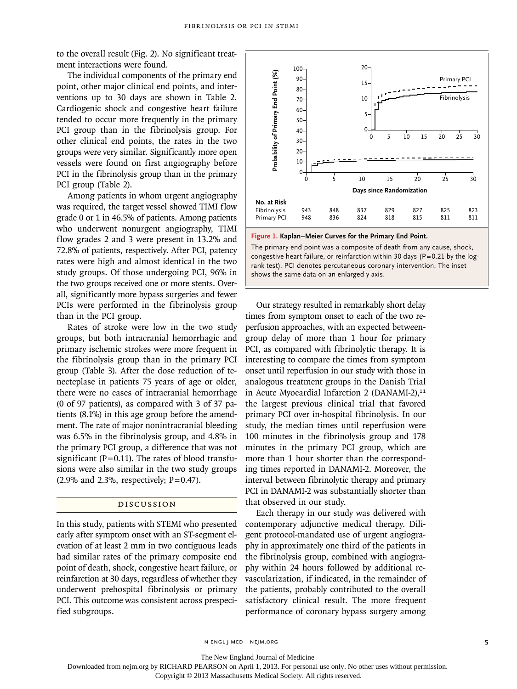to the overall result (Fig. 2). No significant treatment interactions were found.

The individual components of the primary end point, other major clinical end points, and interventions up to 30 days are shown in Table 2. Cardiogenic shock and congestive heart failure tended to occur more frequently in the primary PCI group than in the fibrinolysis group. For other clinical end points, the rates in the two groups were very similar. Significantly more open vessels were found on first angiography before PCI in the fibrinolysis group than in the primary PCI group (Table 2).

Among patients in whom urgent angiography was required, the target vessel showed TIMI flow grade 0 or 1 in 46.5% of patients. Among patients who underwent nonurgent angiography, TIMI flow grades 2 and 3 were present in 13.2% and 72.8% of patients, respectively. After PCI, patency rates were high and almost identical in the two study groups. Of those undergoing PCI, 96% in the two groups received one or more stents. Overall, significantly more bypass surgeries and fewer PCIs were performed in the fibrinolysis group than in the PCI group.

Rates of stroke were low in the two study groups, but both intracranial hemorrhagic and primary ischemic strokes were more frequent in the fibrinolysis group than in the primary PCI group (Table 3). After the dose reduction of tenecteplase in patients 75 years of age or older, there were no cases of intracranial hemorrhage (0 of 97 patients), as compared with 3 of 37 patients (8.1%) in this age group before the amendment. The rate of major nonintracranial bleeding was 6.5% in the fibrinolysis group, and 4.8% in the primary PCI group, a difference that was not significant ( $P=0.11$ ). The rates of blood transfusions were also similar in the two study groups  $(2.9\%$  and 2.3%, respectively; P=0.47).

# Discussion

In this study, patients with STEMI who presented early after symptom onset with an ST-segment elevation of at least 2 mm in two contiguous leads had similar rates of the primary composite end point of death, shock, congestive heart failure, or reinfarction at 30 days, regardless of whether they underwent prehospital fibrinolysis or primary PCI. This outcome was consistent across prespecified subgroups.



**Figure 1. Kaplan–Meier Curves for the Primary End Point.**

The primary end point was a composite of death from any cause, shock, congestive heart failure, or reinfarction within 30 days (P=0.21 by the logrank test). PCI denotes percutaneous coronary intervention. The inset shows the same data on an enlarged y axis.

Our strategy resulted in remarkably short delay times from symptom onset to each of the two reperfusion approaches, with an expected betweengroup delay of more than 1 hour for primary PCI, as compared with fibrinolytic therapy. It is interesting to compare the times from symptom onset until reperfusion in our study with those in analogous treatment groups in the Danish Trial in Acute Myocardial Infarction 2 (DANAMI-2),<sup>11</sup> the largest previous clinical trial that favored primary PCI over in-hospital fibrinolysis. In our study, the median times until reperfusion were 100 minutes in the fibrinolysis group and 178 minutes in the primary PCI group, which are more than 1 hour shorter than the corresponding times reported in DANAMI-2. Moreover, the interval between fibrinolytic therapy and primary PCI in DANAMI-2 was substantially shorter than that observed in our study. **Example 12**<br> **Example 12**<br> **Example 12**<br> **Example 12**<br> **Example 12**<br> **Example 12**<br> **Example 12**<br> **Example 12**<br> **Example 12**<br> **Example 12**<br> **Example 12**<br> **Example 12**<br> **Example 12**<br> **Example 12**<br> **Example 12**<br> **Example 12** 

Each therapy in our study was delivered with contemporary adjunctive medical therapy. Diligent protocol-mandated use of urgent angiography in approximately one third of the patients in the fibrinolysis group, combined with angiography within 24 hours followed by additional revascularization, if indicated, in the remainder of the patients, probably contributed to the overall satisfactory clinical result. The more frequent

n engl j med nejm.org 5

The New England Journal of Medicine

Downloaded from nejm.org by RICHARD PEARSON on April 1, 2013. For personal use only. No other uses without permission.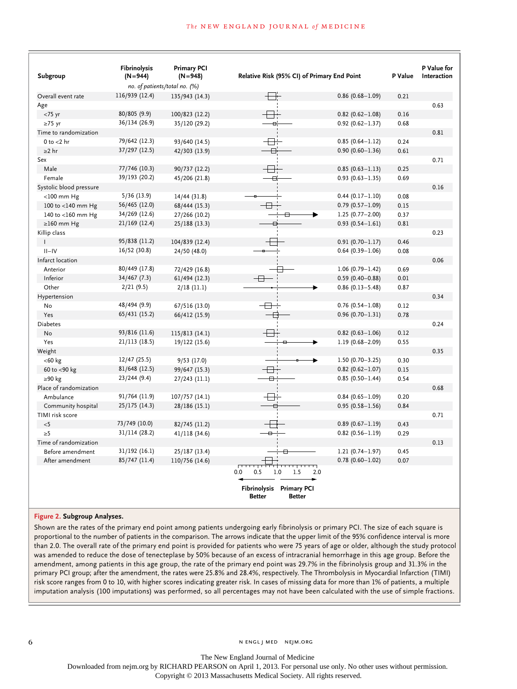| Subgroup                | Fibrinolysis<br>$(N=944)$ | <b>Primary PCI</b><br>$(N=948)$ | Relative Risk (95% CI) of Primary End Point                |                     | P Value | P Value for<br>Interaction |
|-------------------------|---------------------------|---------------------------------|------------------------------------------------------------|---------------------|---------|----------------------------|
|                         |                           | no. of patients/total no. (%)   |                                                            |                     |         |                            |
| Overall event rate      | 116/939 (12.4)            | 135/943 (14.3)                  |                                                            | $0.86(0.68 - 1.09)$ | 0.21    |                            |
| Age                     |                           |                                 |                                                            |                     |         | 0.63                       |
| $<$ 75 yr               | 80/805 (9.9)              | 100/823 (12.2)                  |                                                            | $0.82$ (0.62-1.08)  | 0.16    |                            |
| $\geq$ 75 yr            | 36/134 (26.9)             | 35/120 (29.2)                   | $\overline{a}$                                             | $0.92(0.62 - 1.37)$ | 0.68    |                            |
| Time to randomization   |                           |                                 |                                                            |                     |         | 0.81                       |
| 0 to $<$ 2 hr           | 79/642 (12.3)             | 93/640 (14.5)                   | -⊟⊹                                                        | $0.85(0.64 - 1.12)$ | 0.24    |                            |
| $>2$ hr                 | 37/297 (12.5)             | 42/303 (13.9)                   |                                                            | $0.90(0.60 - 1.36)$ | 0.61    |                            |
| Sex                     |                           |                                 |                                                            |                     |         | 0.71                       |
| Male                    | 77/746 (10.3)             | 90/737 (12.2)                   | $\overline{\phantom{a}}$                                   | $0.85(0.63 - 1.13)$ | 0.25    |                            |
| Female                  | 39/193 (20.2)             | 45/206 (21.8)                   | Ð.                                                         | $0.93(0.63 - 1.35)$ | 0.69    |                            |
| Systolic blood pressure |                           |                                 |                                                            |                     |         | 0.16                       |
| $<$ 100 mm Hg           | 5/36(13.9)                | 14/44(31.8)                     |                                                            | $0.44(0.17 - 1.10)$ | 0.08    |                            |
| 100 to <140 mm Hg       | 56/465 (12.0)             | 68/444 (15.3)                   | $\overline{\phantom{a}}$                                   | $0.79(0.57 - 1.09)$ | 0.15    |                            |
| 140 to <160 mm Hg       | 34/269 (12.6)             | 27/266 (10.2)                   | ⊟                                                          | $1.25(0.77 - 2.00)$ | 0.37    |                            |
| $\geq$ 160 mm Hg        | 21/169 (12.4)             | 25/188 (13.3)                   |                                                            | $0.93(0.54 - 1.61)$ | 0.81    |                            |
| Killip class            |                           |                                 |                                                            |                     |         | 0.23                       |
| $\mathbf{I}$            | 95/838 (11.2)             | 104/839 (12.4)                  |                                                            | $0.91(0.70 - 1.17)$ | 0.46    |                            |
| $II-IV$                 | 16/52 (30.8)              | 24/50 (48.0)                    |                                                            | $0.64$ (0.39-1.06)  | 0.08    |                            |
| Infarct location        |                           |                                 |                                                            |                     |         | 0.06                       |
| Anterior                | 80/449 (17.8)             | 72/429 (16.8)                   | ╒                                                          | $1.06(0.79 - 1.42)$ | 0.69    |                            |
| Inferior                | 34/467 (7.3)              | 61/494 (12.3)                   | $+$                                                        | $0.59(0.40 - 0.88)$ | 0.01    |                            |
| Other                   | 2/21(9.5)                 | $2/18$ (11.1)                   |                                                            | $0.86(0.13 - 5.48)$ | 0.87    |                            |
| Hypertension            |                           |                                 |                                                            |                     |         | 0.34                       |
| No                      | 48/494 (9.9)              | 67/516 (13.0)                   | $\overline{\phantom{a}}$                                   | $0.76(0.54 - 1.08)$ | 0.12    |                            |
| Yes                     | 65/431 (15.2)             | 66/412 (15.9)                   |                                                            | $0.96(0.70 - 1.31)$ | 0.78    |                            |
| <b>Diabetes</b>         |                           |                                 |                                                            |                     |         | 0.24                       |
| No                      | 93/816 (11.6)             |                                 |                                                            | $0.82$ (0.63-1.06)  | 0.12    |                            |
| Yes                     | 21/113 (18.5)             | 115/813 (14.1)                  |                                                            |                     | 0.55    |                            |
|                         |                           | 19/122 (15.6)                   |                                                            | $1.19(0.68 - 2.09)$ |         |                            |
| Weight                  |                           |                                 |                                                            |                     |         | 0.35                       |
| $<$ 60 $kg$             | 12/47 (25.5)              | 9/53(17.0)                      |                                                            | $1.50(0.70 - 3.25)$ | 0.30    |                            |
| 60 to <90 kg            | 81/648 (12.5)             | 99/647 (15.3)                   | $\overline{\phantom{a}}$                                   | $0.82$ (0.62-1.07)  | 0.15    |                            |
| ≥90 kg                  | 23/244(9.4)               | 27/243 (11.1)                   | ⊟                                                          | $0.85(0.50 - 1.44)$ | 0.54    |                            |
| Place of randomization  |                           |                                 |                                                            |                     |         | 0.68                       |
| Ambulance               | 91/764 (11.9)             | 107/757 (14.1)                  | ╤╬                                                         | $0.84(0.65 - 1.09)$ | 0.20    |                            |
| Community hospital      | 25/175 (14.3)             | 28/186 (15.1)                   |                                                            | $0.95(0.58 - 1.56)$ | 0.84    |                            |
| TIMI risk score         |                           |                                 |                                                            |                     |         | 0.71                       |
| $<$ 5                   | 73/749 (10.0)             | 82/745 (11.2)                   |                                                            | $0.89(0.67 - 1.19)$ | 0.43    |                            |
| $\geq 5$                | 31/114 (28.2)             | 41/118(34.6)                    | $\overline{\phantom{a}}$                                   | $0.82(0.56 - 1.19)$ | 0.29    |                            |
| Time of randomization   |                           |                                 |                                                            |                     |         | 0.13                       |
| Before amendment        | 31/192 (16.1)             | 25/187 (13.4)                   | ⊟                                                          | $1.21(0.74 - 1.97)$ | 0.45    |                            |
| After amendment         | 85/747 (11.4)             | 110/756 (14.6)                  |                                                            | $0.78(0.60 - 1.02)$ | 0.07    |                            |
|                         |                           |                                 | 0.5<br>1.0<br>0.0<br>1.5                                   | 2.0                 |         |                            |
|                         |                           |                                 | Fibrinolysis Primary PCI<br><b>Better</b><br><b>Better</b> |                     |         |                            |

# **Figure 2. Subgroup Analyses.**

Shown are the rates of the primary end point among patients undergoing early fibrinolysis or primary PCI. The size of each square is proportional to the number of patients in the comparison. The arrows indicate that the upper limit of the 95% confidence interval is more than 2.0. The overall rate of the primary end point is provided for patients who were 75 years of age or older, although the study protocol was amended to reduce the dose of tenecteplase by 50% because of an excess of intracranial hemorrhage in this age group. Before the amendment, among patients in this age group, the rate of the primary end point was 29.7% in the fibrinolysis group and 31.3% in the primary PCI group; after the amendment, the rates were 25.8% and 28.4%, respectively. The Thrombolysis in Myocardial Infarction (TIMI) risk score ranges from 0 to 10, with higher scores indicating greater risk. In cases of missing data for more than 1% of patients, a multiple imputation analysis (100 imputations) was performed, so all percentages may not have been calculated with the use of simple fractions.

The New England Journal of Medicine

Downloaded from nejm.org by RICHARD PEARSON on April 1, 2013. For personal use only. No other uses without permission.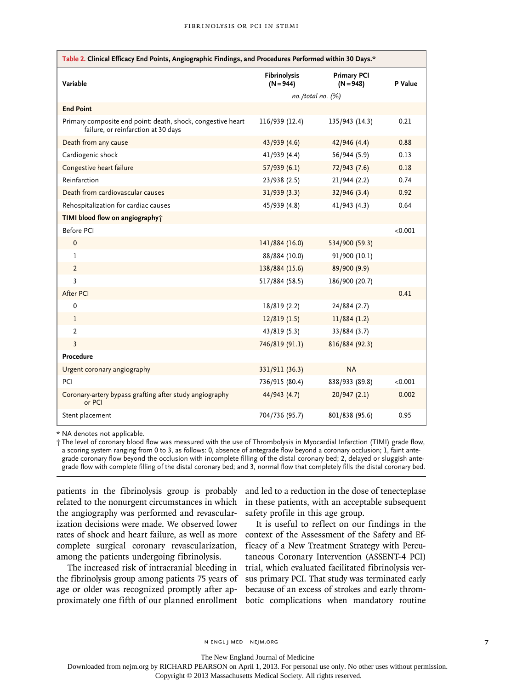| Table 2. Clinical Efficacy End Points, Angiographic Findings, and Procedures Performed within 30 Days.* |                                    |                                   |         |  |
|---------------------------------------------------------------------------------------------------------|------------------------------------|-----------------------------------|---------|--|
| Variable                                                                                                | <b>Fibrinolysis</b><br>$(N = 944)$ | <b>Primary PCI</b><br>$(N = 948)$ | P Value |  |
|                                                                                                         |                                    | no./total no. (%)                 |         |  |
| <b>End Point</b>                                                                                        |                                    |                                   |         |  |
| Primary composite end point: death, shock, congestive heart<br>failure, or reinfarction at 30 days      | 116/939 (12.4)                     | 135/943 (14.3)                    | 0.21    |  |
| Death from any cause                                                                                    | 43/939 (4.6)                       | 42/946 (4.4)                      | 0.88    |  |
| Cardiogenic shock                                                                                       | 41/939 (4.4)                       | 56/944 (5.9)                      | 0.13    |  |
| Congestive heart failure                                                                                | 57/939(6.1)                        | 72/943 (7.6)                      | 0.18    |  |
| Reinfarction                                                                                            | 23/938(2.5)                        | 21/944 (2.2)                      | 0.74    |  |
| Death from cardiovascular causes                                                                        | 31/939 (3.3)                       | 32/946 (3.4)                      | 0.92    |  |
| Rehospitalization for cardiac causes                                                                    | 45/939 (4.8)                       | 41/943 (4.3)                      | 0.64    |  |
| TIMI blood flow on angiography;                                                                         |                                    |                                   |         |  |
| <b>Before PCI</b>                                                                                       |                                    |                                   | < 0.001 |  |
| $\pmb{0}$                                                                                               | 141/884 (16.0)                     | 534/900 (59.3)                    |         |  |
| $\mathbf{1}$                                                                                            | 88/884 (10.0)                      | 91/900 (10.1)                     |         |  |
| $\overline{2}$                                                                                          | 138/884 (15.6)                     | 89/900 (9.9)                      |         |  |
| 3                                                                                                       | 517/884 (58.5)                     | 186/900 (20.7)                    |         |  |
| After PCI                                                                                               |                                    |                                   | 0.41    |  |
| $\mathbf 0$                                                                                             | 18/819 (2.2)                       | 24/884 (2.7)                      |         |  |
| $\mathbf{1}$                                                                                            | 12/819(1.5)                        | 11/884(1.2)                       |         |  |
| $\overline{2}$                                                                                          | 43/819 (5.3)                       | 33/884 (3.7)                      |         |  |
| $\overline{3}$                                                                                          | 746/819 (91.1)                     | 816/884 (92.3)                    |         |  |
| Procedure                                                                                               |                                    |                                   |         |  |
| Urgent coronary angiography                                                                             | 331/911 (36.3)                     | <b>NA</b>                         |         |  |
| PCI                                                                                                     | 736/915 (80.4)                     | 838/933 (89.8)                    | < 0.001 |  |
| Coronary-artery bypass grafting after study angiography<br>or PCI                                       | 44/943 (4.7)                       | 20/947(2.1)                       | 0.002   |  |
| Stent placement                                                                                         | 704/736 (95.7)                     | 801/838 (95.6)                    | 0.95    |  |

\* NA denotes not applicable.

† The level of coronary blood flow was measured with the use of Thrombolysis in Myocardial Infarction (TIMI) grade flow, a scoring system ranging from 0 to 3, as follows: 0, absence of antegrade flow beyond a coronary occlusion; 1, faint antegrade coronary flow beyond the occlusion with incomplete filling of the distal coronary bed; 2, delayed or sluggish antegrade flow with complete filling of the distal coronary bed; and 3, normal flow that completely fills the distal coronary bed.

patients in the fibrinolysis group is probably related to the nonurgent circumstances in which the angiography was performed and revascularization decisions were made. We observed lower rates of shock and heart failure, as well as more complete surgical coronary revascularization, among the patients undergoing fibrinolysis.

The increased risk of intracranial bleeding in the fibrinolysis group among patients 75 years of age or older was recognized promptly after approximately one fifth of our planned enrollment botic complications when mandatory routine

and led to a reduction in the dose of tenecteplase in these patients, with an acceptable subsequent safety profile in this age group.

It is useful to reflect on our findings in the context of the Assessment of the Safety and Efficacy of a New Treatment Strategy with Percutaneous Coronary Intervention (ASSENT-4 PCI) trial, which evaluated facilitated fibrinolysis versus primary PCI. That study was terminated early because of an excess of strokes and early throm-

The New England Journal of Medicine

Downloaded from nejm.org by RICHARD PEARSON on April 1, 2013. For personal use only. No other uses without permission.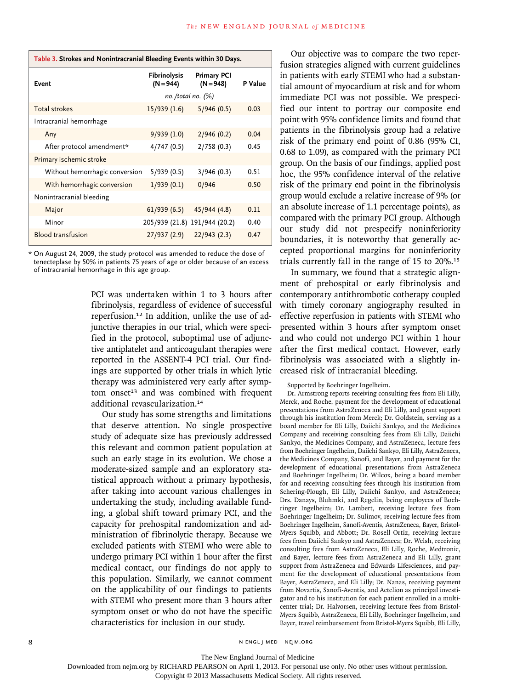| Table 3. Strokes and Nonintracranial Bleeding Events within 30 Days. |                               |                                   |         |  |
|----------------------------------------------------------------------|-------------------------------|-----------------------------------|---------|--|
| Event                                                                | Fibrinolysis<br>$(N = 944)$   | <b>Primary PCI</b><br>$(N = 948)$ | P Value |  |
|                                                                      |                               | $no. /total no.$ (%)              |         |  |
| <b>Total strokes</b>                                                 | 15/939(1.6)                   | 5/946(0.5)                        | 0.03    |  |
| Intracranial hemorrhage                                              |                               |                                   |         |  |
| Any                                                                  | 9/939(1.0)                    | 2/946(0.2)                        | 0.04    |  |
| After protocol amendment*                                            | 4/747(0.5)                    | 2/758(0.3)                        | 0.45    |  |
| Primary ischemic stroke                                              |                               |                                   |         |  |
| Without hemorrhagic conversion                                       | 5/939(0.5)                    | 3/946(0.3)                        | 0.51    |  |
| With hemorrhagic conversion                                          | 1/939(0.1)                    | 0/946                             | 0.50    |  |
| Nonintracranial bleeding                                             |                               |                                   |         |  |
| Major                                                                | 61/939(6.5)                   | 45/944 (4.8)                      | 0.11    |  |
| Minor                                                                | 205/939 (21.8) 191/944 (20.2) |                                   | 0.40    |  |
| <b>Blood transfusion</b>                                             | 27/937(2.9)                   | 22/943(2.3)                       | 0.47    |  |

\* On August 24, 2009, the study protocol was amended to reduce the dose of tenecteplase by 50% in patients 75 years of age or older because of an excess of intracranial hemorrhage in this age group.

> PCI was undertaken within 1 to 3 hours after fibrinolysis, regardless of evidence of successful reperfusion.12 In addition, unlike the use of adjunctive therapies in our trial, which were specified in the protocol, suboptimal use of adjunctive antiplatelet and anticoagulant therapies were reported in the ASSENT-4 PCI trial. Our findings are supported by other trials in which lytic therapy was administered very early after symptom onset $13$  and was combined with frequent additional revascularization.<sup>14</sup>

> Our study has some strengths and limitations that deserve attention. No single prospective study of adequate size has previously addressed this relevant and common patient population at such an early stage in its evolution. We chose a moderate-sized sample and an exploratory statistical approach without a primary hypothesis, after taking into account various challenges in undertaking the study, including available funding, a global shift toward primary PCI, and the capacity for prehospital randomization and administration of fibrinolytic therapy. Because we excluded patients with STEMI who were able to undergo primary PCI within 1 hour after the first medical contact, our findings do not apply to this population. Similarly, we cannot comment on the applicability of our findings to patients with STEMI who present more than 3 hours after symptom onset or who do not have the specific characteristics for inclusion in our study.

Our objective was to compare the two reperfusion strategies aligned with current guidelines in patients with early STEMI who had a substantial amount of myocardium at risk and for whom immediate PCI was not possible. We prespecified our intent to portray our composite end point with 95% confidence limits and found that patients in the fibrinolysis group had a relative risk of the primary end point of 0.86 (95% CI, 0.68 to 1.09), as compared with the primary PCI group. On the basis of our findings, applied post hoc, the 95% confidence interval of the relative risk of the primary end point in the fibrinolysis group would exclude a relative increase of 9% (or an absolute increase of 1.1 percentage points), as compared with the primary PCI group. Although our study did not prespecify noninferiority boundaries, it is noteworthy that generally accepted proportional margins for noninferiority trials currently fall in the range of 15 to 20%.<sup>15</sup>

In summary, we found that a strategic alignment of prehospital or early fibrinolysis and contemporary antithrombotic cotherapy coupled with timely coronary angiography resulted in effective reperfusion in patients with STEMI who presented within 3 hours after symptom onset and who could not undergo PCI within 1 hour after the first medical contact. However, early fibrinolysis was associated with a slightly increased risk of intracranial bleeding.

#### Supported by Boehringer Ingelheim.

Dr. Armstrong reports receiving consulting fees from Eli Lilly, Merck, and Roche, payment for the development of educational presentations from AstraZeneca and Eli Lilly, and grant support through his institution from Merck; Dr. Goldstein, serving as a board member for Eli Lilly, Daiichi Sankyo, and the Medicines Company and receiving consulting fees from Eli Lilly, Daiichi Sankyo, the Medicines Company, and AstraZeneca, lecture fees from Boehringer Ingelheim, Daiichi Sankyo, Eli Lilly, AstraZeneca, the Medicines Company, Sanofi, and Bayer, and payment for the development of educational presentations from AstraZeneca and Boehringer Ingelheim; Dr. Wilcox, being a board member for and receiving consulting fees through his institution from Schering-Plough, Eli Lilly, Daiichi Sankyo, and AstraZeneca; Drs. Danays, Bluhmki, and Regelin, being employees of Boehringer Ingelheim; Dr. Lambert, receiving lecture fees from Boehringer Ingelheim; Dr. Sulimov, receiving lecture fees from Boehringer Ingelheim, Sanofi-Aventis, AstraZeneca, Bayer, Bristol-Myers Squibb, and Abbott; Dr. Rosell Ortiz, receiving lecture fees from Daiichi Sankyo and AstraZeneca; Dr. Welsh, receiving consulting fees from AstraZeneca, Eli Lilly, Roche, Medtronic, and Bayer, lecture fees from AstraZeneca and Eli Lilly, grant support from AstraZeneca and Edwards Lifesciences, and payment for the development of educational presentations from Bayer, AstraZeneca, and Eli Lilly; Dr. Nanas, receiving payment from Novartis, Sanofi-Aventis, and Actelion as principal investigator and to his institution for each patient enrolled in a multicenter trial; Dr. Halvorsen, receiving lecture fees from Bristol-Myers Squibb, AstraZeneca, Eli Lilly, Boehringer Ingelheim, and Bayer, travel reimbursement from Bristol-Myers Squibb, Eli Lilly,